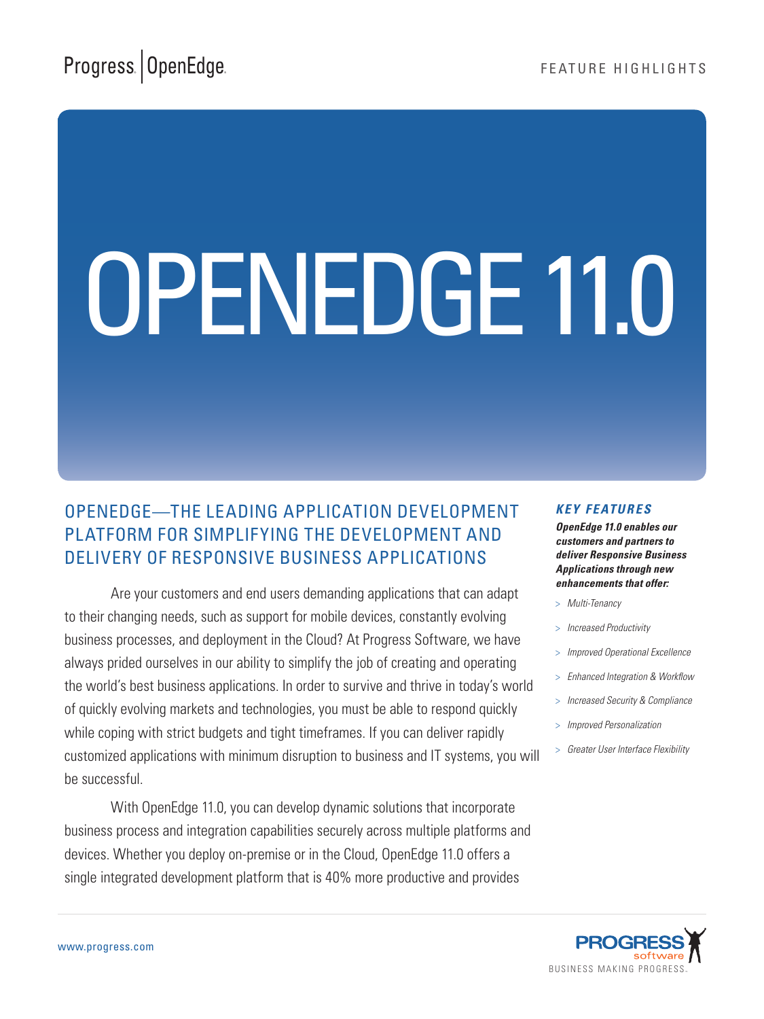Progress ® Orbacus ™

# OPENEDGE 11.0

# OpenEdge—The leading Application Development Platform for simplifying the development and delivery of Responsive Business Applications

Are your customers and end users demanding applications that can adapt to their changing needs, such as support for mobile devices, constantly evolving business processes, and deployment in the Cloud? At Progress Software, we have always prided ourselves in our ability to simplify the job of creating and operating the world's best business applications. In order to survive and thrive in today's world of quickly evolving markets and technologies, you must be able to respond quickly while coping with strict budgets and tight timeframes. If you can deliver rapidly customized applications with minimum disruption to business and IT systems, you will be successful.

With OpenEdge 11.0, you can develop dynamic solutions that incorporate business process and integration capabilities securely across multiple platforms and devices. Whether you deploy on-premise or in the Cloud, OpenEdge 11.0 offers a single integrated development platform that is 40% more productive and provides

#### *Key features*

*OpenEdge 11.0 enables our customers and partners to deliver Responsive Business Applications through new enhancements that offer:*

- > *Multi-Tenancy*
- > *Increased Productivity*
- > *Improved Operational Excellence*
- > *Enhanced Integration & Workflow*
- > *Increased Security & Compliance*
- > *Improved Personalization*
- > *Greater User Interface Flexibility*

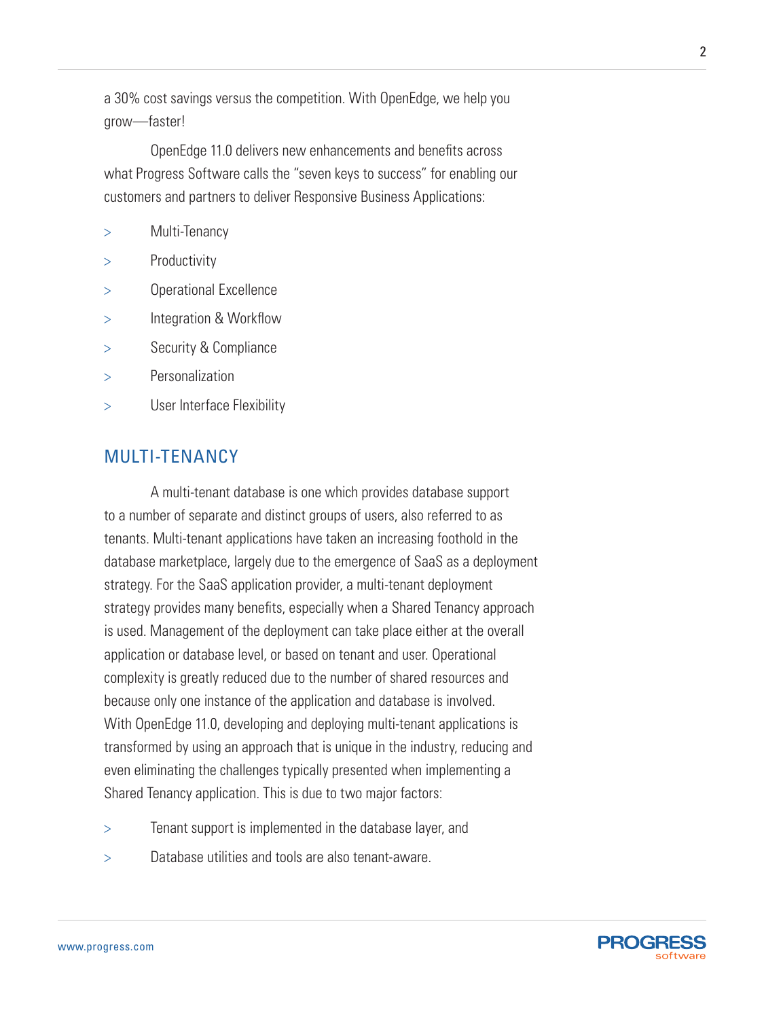a 30% cost savings versus the competition. With OpenEdge, we help you grow—faster!

OpenEdge 11.0 delivers new enhancements and benefits across what Progress Software calls the "seven keys to success" for enabling our customers and partners to deliver Responsive Business Applications:

> Multi-Tenancy

- **Productivity**
- > Operational Excellence
- Integration & Workflow
- > Security & Compliance
- > Personalization
- > User Interface Flexibility

# Multi-tenancy

A multi-tenant database is one which provides database support to a number of separate and distinct groups of users, also referred to as tenants. Multi-tenant applications have taken an increasing foothold in the database marketplace, largely due to the emergence of SaaS as a deployment strategy. For the SaaS application provider, a multi-tenant deployment strategy provides many benefits, especially when a Shared Tenancy approach is used. Management of the deployment can take place either at the overall application or database level, or based on tenant and user. Operational complexity is greatly reduced due to the number of shared resources and because only one instance of the application and database is involved. With OpenEdge 11.0, developing and deploying multi-tenant applications is transformed by using an approach that is unique in the industry, reducing and even eliminating the challenges typically presented when implementing a Shared Tenancy application. This is due to two major factors:

- > Tenant support is implemented in the database layer, and
- > Database utilities and tools are also tenant-aware.

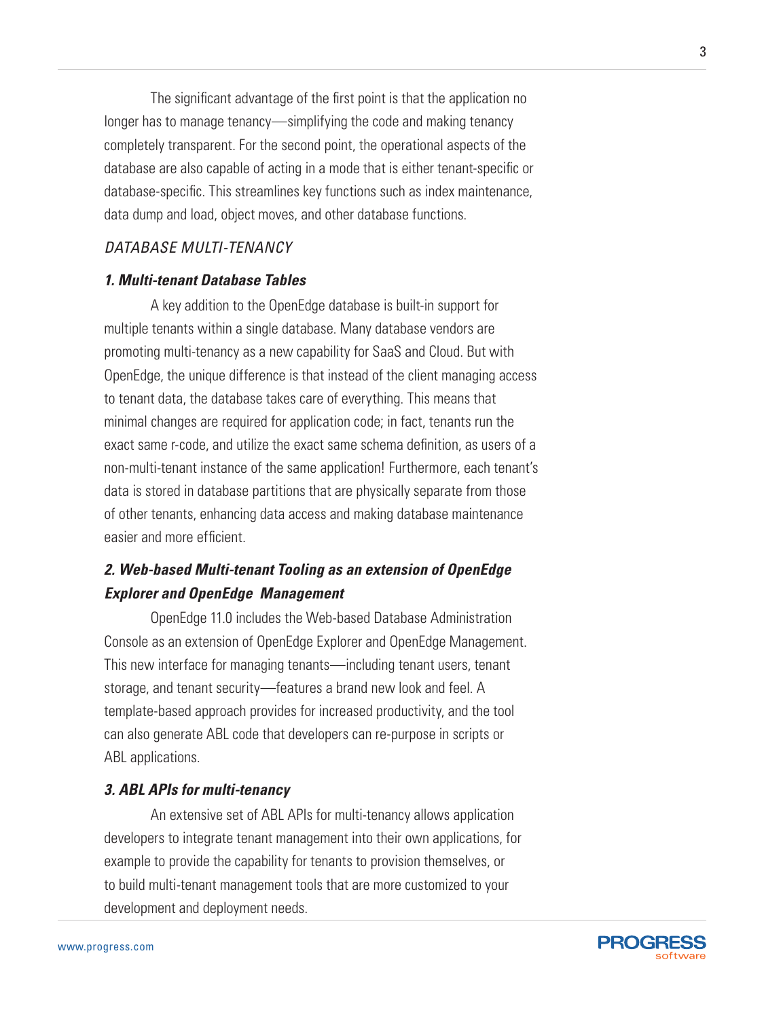The significant advantage of the first point is that the application no longer has to manage tenancy—simplifying the code and making tenancy completely transparent. For the second point, the operational aspects of the database are also capable of acting in a mode that is either tenant-specific or database-specific. This streamlines key functions such as index maintenance, data dump and load, object moves, and other database functions.

# *Database Multi-tenancy*

# *1. Multi-tenant Database Tables*

A key addition to the OpenEdge database is built-in support for multiple tenants within a single database. Many database vendors are promoting multi-tenancy as a new capability for SaaS and Cloud. But with OpenEdge, the unique difference is that instead of the client managing access to tenant data, the database takes care of everything. This means that minimal changes are required for application code; in fact, tenants run the exact same r-code, and utilize the exact same schema definition, as users of a non-multi-tenant instance of the same application! Furthermore, each tenant's data is stored in database partitions that are physically separate from those of other tenants, enhancing data access and making database maintenance easier and more efficient.

# *2. Web-based Multi-tenant Tooling as an extension of OpenEdge Explorer and OpenEdge Management*

OpenEdge 11.0 includes the Web-based Database Administration Console as an extension of OpenEdge Explorer and OpenEdge Management. This new interface for managing tenants—including tenant users, tenant storage, and tenant security—features a brand new look and feel. A template-based approach provides for increased productivity, and the tool can also generate ABL code that developers can re-purpose in scripts or ABL applications.

#### *3. ABL APIs for multi-tenancy*

An extensive set of ABL APIs for multi-tenancy allows application developers to integrate tenant management into their own applications, for example to provide the capability for tenants to provision themselves, or to build multi-tenant management tools that are more customized to your development and deployment needs.

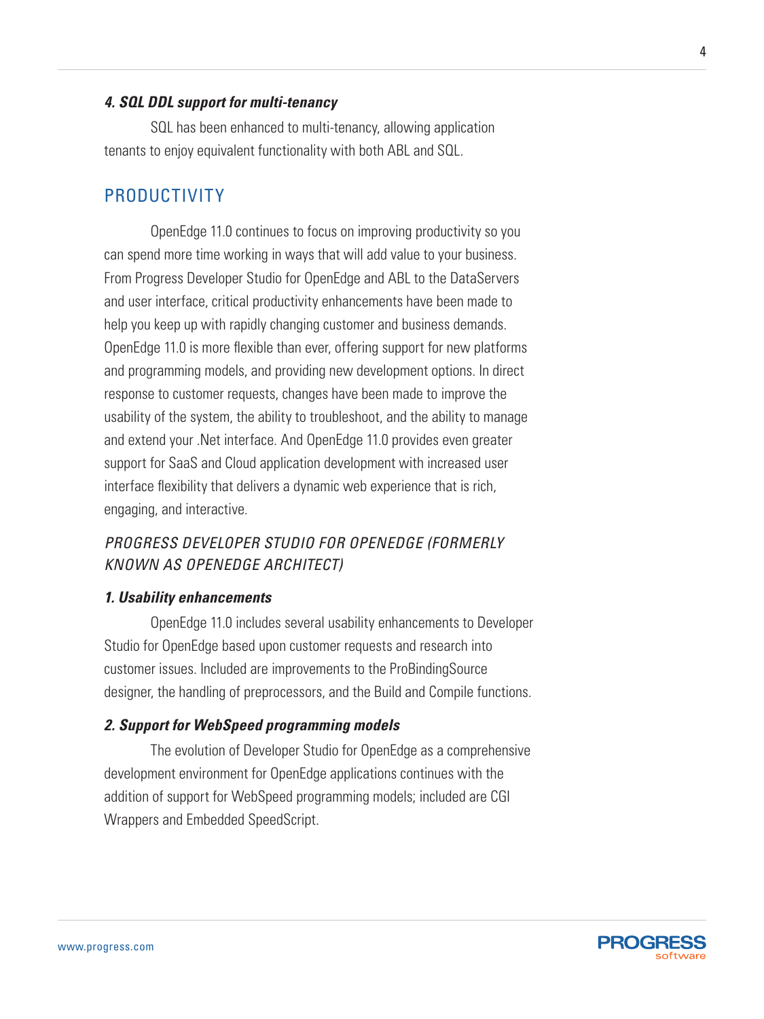#### *4. SQL DDL support for multi-tenancy*

SQL has been enhanced to multi-tenancy, allowing application tenants to enjoy equivalent functionality with both ABL and SQL.

# **PRODUCTIVITY**

OpenEdge 11.0 continues to focus on improving productivity so you can spend more time working in ways that will add value to your business. From Progress Developer Studio for OpenEdge and ABL to the DataServers and user interface, critical productivity enhancements have been made to help you keep up with rapidly changing customer and business demands. OpenEdge 11.0 is more flexible than ever, offering support for new platforms and programming models, and providing new development options. In direct response to customer requests, changes have been made to improve the usability of the system, the ability to troubleshoot, and the ability to manage and extend your .Net interface. And OpenEdge 11.0 provides even greater support for SaaS and Cloud application development with increased user interface flexibility that delivers a dynamic web experience that is rich, engaging, and interactive.

# *Progress Developer Studio for OpenEdge (formerly known as OpenEdge architect)*

#### *1. Usability enhancements*

OpenEdge 11.0 includes several usability enhancements to Developer Studio for OpenEdge based upon customer requests and research into customer issues. Included are improvements to the ProBindingSource designer, the handling of preprocessors, and the Build and Compile functions.

#### *2. Support for WebSpeed programming models*

The evolution of Developer Studio for OpenEdge as a comprehensive development environment for OpenEdge applications continues with the addition of support for WebSpeed programming models; included are CGI Wrappers and Embedded SpeedScript.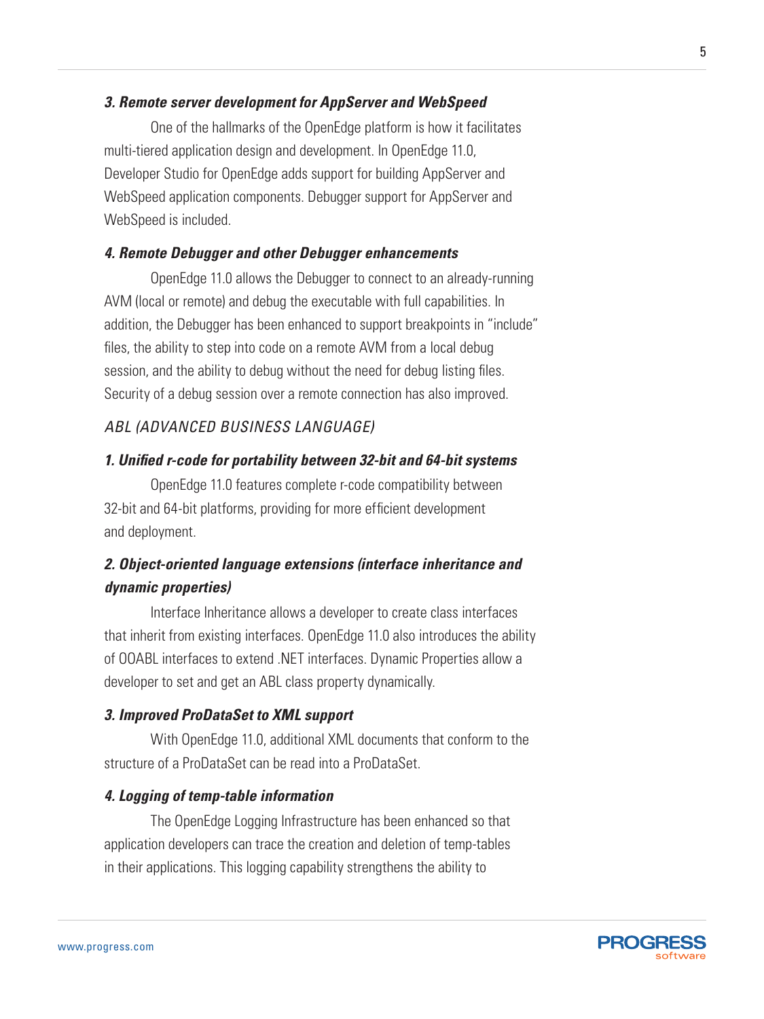# *3. Remote server development for AppServer and WebSpeed*

One of the hallmarks of the OpenEdge platform is how it facilitates multi-tiered application design and development. In OpenEdge 11.0, Developer Studio for OpenEdge adds support for building AppServer and WebSpeed application components. Debugger support for AppServer and WebSpeed is included.

# *4. Remote Debugger and other Debugger enhancements*

OpenEdge 11.0 allows the Debugger to connect to an already-running AVM (local or remote) and debug the executable with full capabilities. In addition, the Debugger has been enhanced to support breakpoints in "include" files, the ability to step into code on a remote AVM from a local debug session, and the ability to debug without the need for debug listing files. Security of a debug session over a remote connection has also improved.

# *ABL (Advanced Business Language)*

## *1. Unified r-code for portability between 32-bit and 64-bit systems*

OpenEdge 11.0 features complete r-code compatibility between 32-bit and 64-bit platforms, providing for more efficient development and deployment.

# *2. Object-oriented language extensions (interface inheritance and dynamic properties)*

Interface Inheritance allows a developer to create class interfaces that inherit from existing interfaces. OpenEdge 11.0 also introduces the ability of OOABL interfaces to extend .NET interfaces. Dynamic Properties allow a developer to set and get an ABL class property dynamically.

## *3. Improved ProDataSet to XML support*

With OpenEdge 11.0, additional XML documents that conform to the structure of a ProDataSet can be read into a ProDataSet.

#### *4. Logging of temp-table information*

The OpenEdge Logging Infrastructure has been enhanced so that application developers can trace the creation and deletion of temp-tables in their applications. This logging capability strengthens the ability to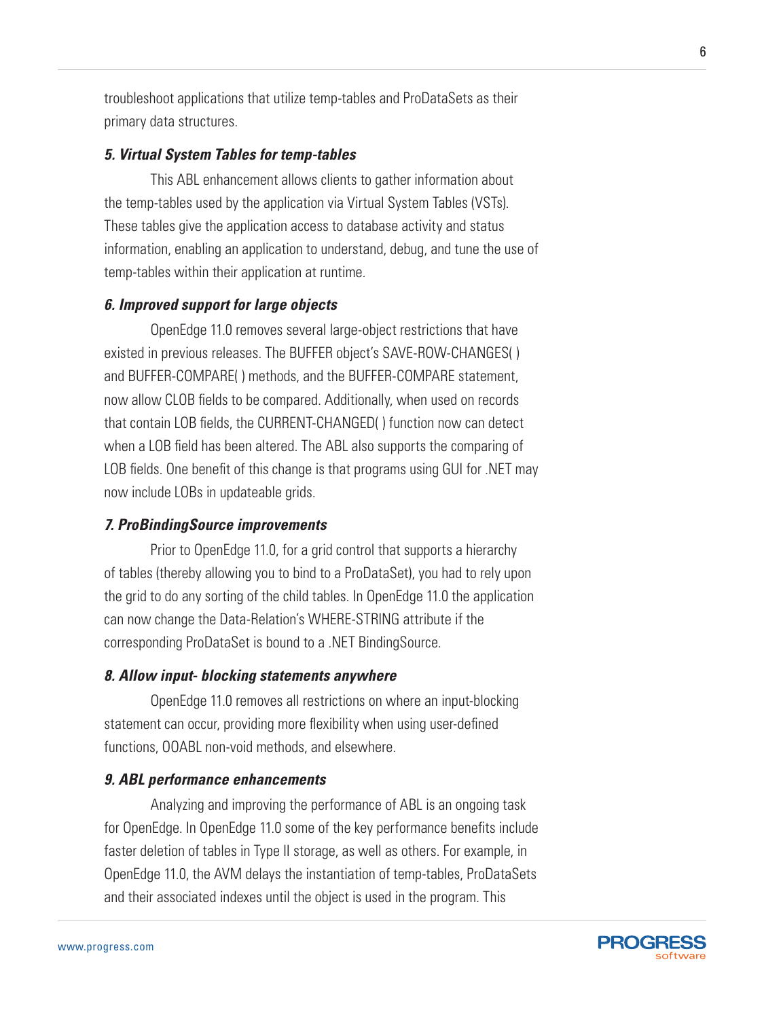troubleshoot applications that utilize temp-tables and ProDataSets as their primary data structures.

# *5. Virtual System Tables for temp-tables*

This ABL enhancement allows clients to gather information about the temp-tables used by the application via Virtual System Tables (VSTs). These tables give the application access to database activity and status information, enabling an application to understand, debug, and tune the use of temp-tables within their application at runtime.

## *6. Improved support for large objects*

OpenEdge 11.0 removes several large-object restrictions that have existed in previous releases. The BUFFER object's SAVE-ROW-CHANGES( ) and BUFFER-COMPARE( ) methods, and the BUFFER-COMPARE statement, now allow CLOB fields to be compared. Additionally, when used on records that contain LOB fields, the CURRENT-CHANGED( ) function now can detect when a LOB field has been altered. The ABL also supports the comparing of LOB fields. One benefit of this change is that programs using GUI for .NET may now include LOBs in updateable grids.

#### *7. ProBindingSource improvements*

Prior to OpenEdge 11.0, for a grid control that supports a hierarchy of tables (thereby allowing you to bind to a ProDataSet), you had to rely upon the grid to do any sorting of the child tables. In OpenEdge 11.0 the application can now change the Data-Relation's WHERE-STRING attribute if the corresponding ProDataSet is bound to a .NET BindingSource.

## *8. Allow input- blocking statements anywhere*

OpenEdge 11.0 removes all restrictions on where an input-blocking statement can occur, providing more flexibility when using user-defined functions, OOABL non-void methods, and elsewhere.

#### *9. ABL performance enhancements*

Analyzing and improving the performance of ABL is an ongoing task for OpenEdge. In OpenEdge 11.0 some of the key performance benefits include faster deletion of tables in Type II storage, as well as others. For example, in OpenEdge 11.0, the AVM delays the instantiation of temp-tables, ProDataSets and their associated indexes until the object is used in the program. This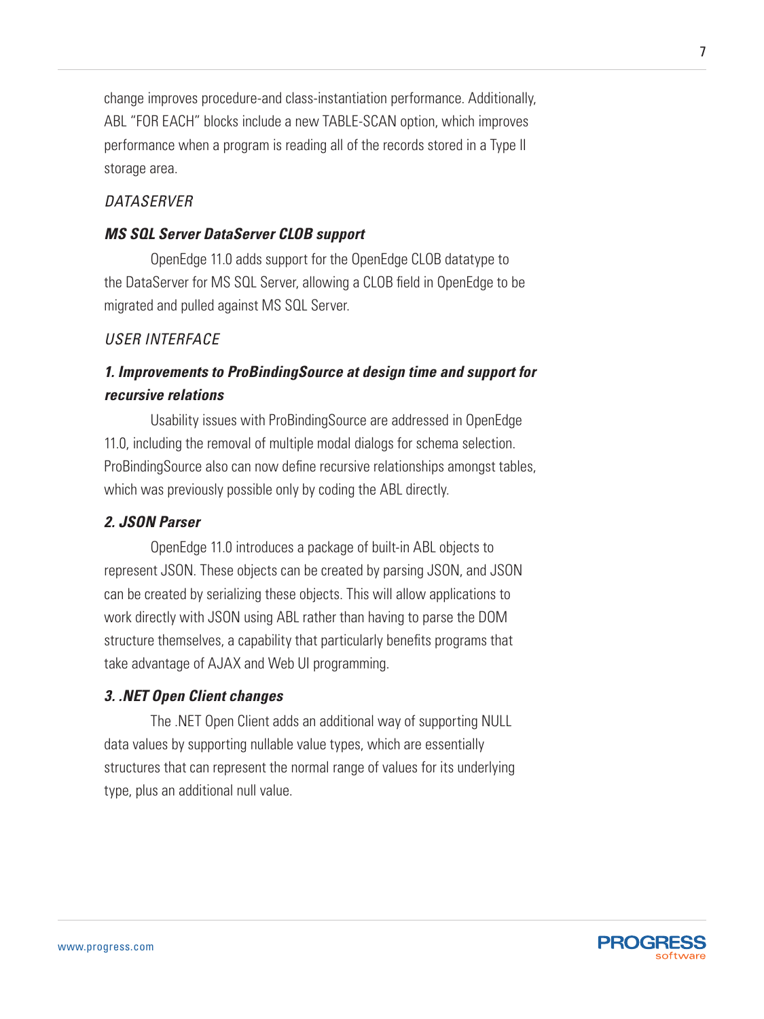change improves procedure-and class-instantiation performance. Additionally, ABL "FOR EACH" blocks include a new TABLE-SCAN option, which improves performance when a program is reading all of the records stored in a Type II storage area.

# *DataServer*

# *MS SQL Server DataServer CLOB support*

OpenEdge 11.0 adds support for the OpenEdge CLOB datatype to the DataServer for MS SQL Server, allowing a CLOB field in OpenEdge to be migrated and pulled against MS SQL Server.

# *User Interface*

# *1. Improvements to ProBindingSource at design time and support for recursive relations*

Usability issues with ProBindingSource are addressed in OpenEdge 11.0, including the removal of multiple modal dialogs for schema selection. ProBindingSource also can now define recursive relationships amongst tables, which was previously possible only by coding the ABL directly.

## *2. JSON Parser*

OpenEdge 11.0 introduces a package of built-in ABL objects to represent JSON. These objects can be created by parsing JSON, and JSON can be created by serializing these objects. This will allow applications to work directly with JSON using ABL rather than having to parse the DOM structure themselves, a capability that particularly benefits programs that take advantage of AJAX and Web UI programming.

#### *3. .NET Open Client changes*

The .NET Open Client adds an additional way of supporting NULL data values by supporting nullable value types, which are essentially structures that can represent the normal range of values for its underlying type, plus an additional null value.

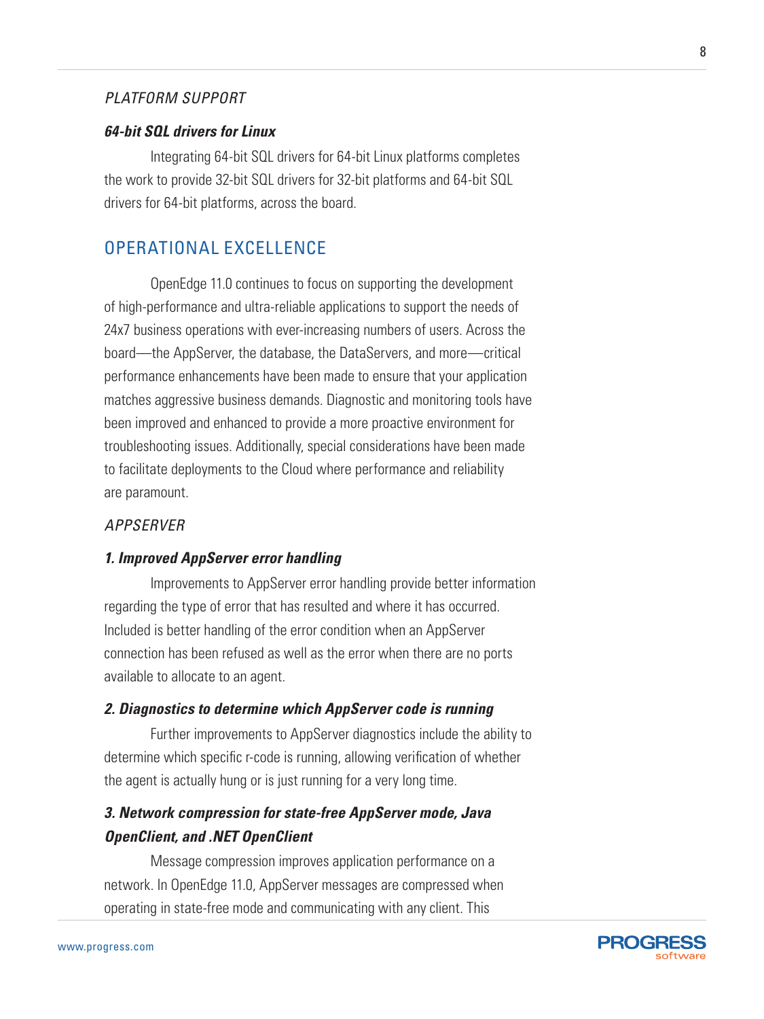# *Platform Support*

#### *64-bit SQL drivers for Linux*

Integrating 64-bit SQL drivers for 64-bit Linux platforms completes the work to provide 32-bit SQL drivers for 32-bit platforms and 64-bit SQL drivers for 64-bit platforms, across the board.

# Operational Excellence

OpenEdge 11.0 continues to focus on supporting the development of high-performance and ultra-reliable applications to support the needs of 24x7 business operations with ever-increasing numbers of users. Across the board—the AppServer, the database, the DataServers, and more—critical performance enhancements have been made to ensure that your application matches aggressive business demands. Diagnostic and monitoring tools have been improved and enhanced to provide a more proactive environment for troubleshooting issues. Additionally, special considerations have been made to facilitate deployments to the Cloud where performance and reliability are paramount.

# *Appserver*

## *1. Improved AppServer error handling*

Improvements to AppServer error handling provide better information regarding the type of error that has resulted and where it has occurred. Included is better handling of the error condition when an AppServer connection has been refused as well as the error when there are no ports available to allocate to an agent.

#### *2. Diagnostics to determine which AppServer code is running*

Further improvements to AppServer diagnostics include the ability to determine which specific r-code is running, allowing verification of whether the agent is actually hung or is just running for a very long time.

# *3. Network compression for state-free AppServer mode, Java OpenClient, and .NET OpenClient*

Message compression improves application performance on a network. In OpenEdge 11.0, AppServer messages are compressed when operating in state-free mode and communicating with any client. This

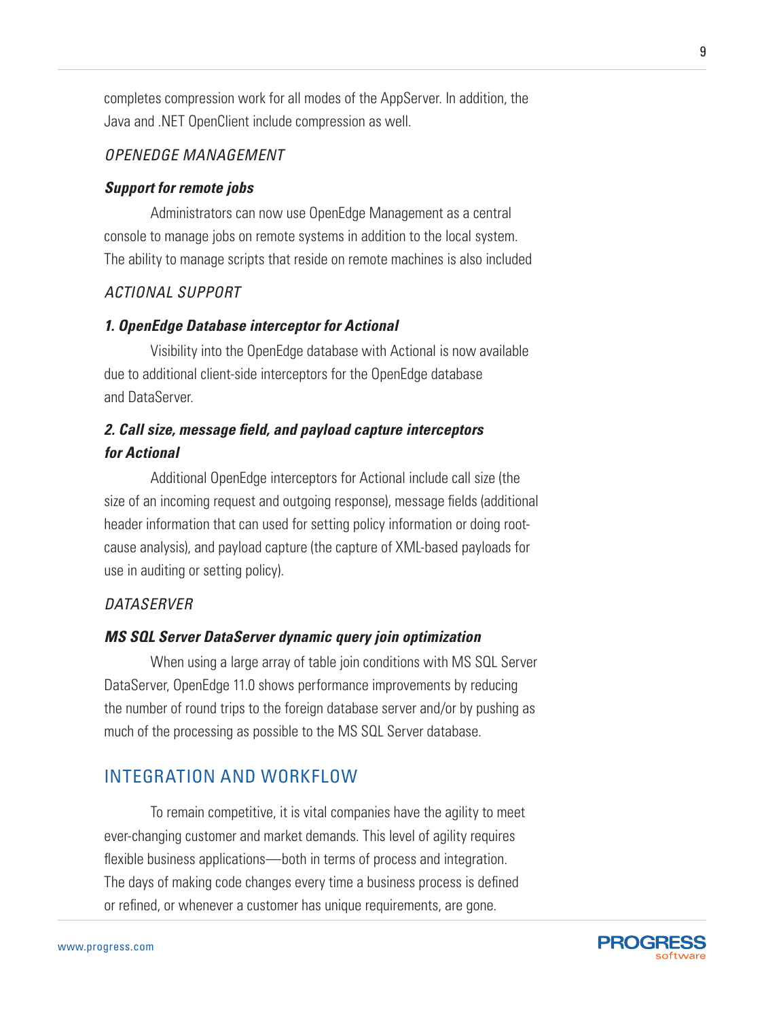completes compression work for all modes of the AppServer. In addition, the Java and .NET OpenClient include compression as well.

# *OpenEdge Management*

# *Support for remote jobs*

Administrators can now use OpenEdge Management as a central console to manage jobs on remote systems in addition to the local system. The ability to manage scripts that reside on remote machines is also included

# *Actional Support*

# *1. OpenEdge Database interceptor for Actional*

Visibility into the OpenEdge database with Actional is now available due to additional client-side interceptors for the OpenEdge database and DataServer.

# *2. Call size, message field, and payload capture interceptors for Actional*

Additional OpenEdge interceptors for Actional include call size (the size of an incoming request and outgoing response), message fields (additional header information that can used for setting policy information or doing rootcause analysis), and payload capture (the capture of XML-based payloads for use in auditing or setting policy).

# *DataServer*

# *MS SQL Server DataServer dynamic query join optimization*

When using a large array of table join conditions with MS SQL Server DataServer, OpenEdge 11.0 shows performance improvements by reducing the number of round trips to the foreign database server and/or by pushing as much of the processing as possible to the MS SQL Server database.

# Integration and Workflow

To remain competitive, it is vital companies have the agility to meet ever-changing customer and market demands. This level of agility requires flexible business applications—both in terms of process and integration. The days of making code changes every time a business process is defined or refined, or whenever a customer has unique requirements, are gone.

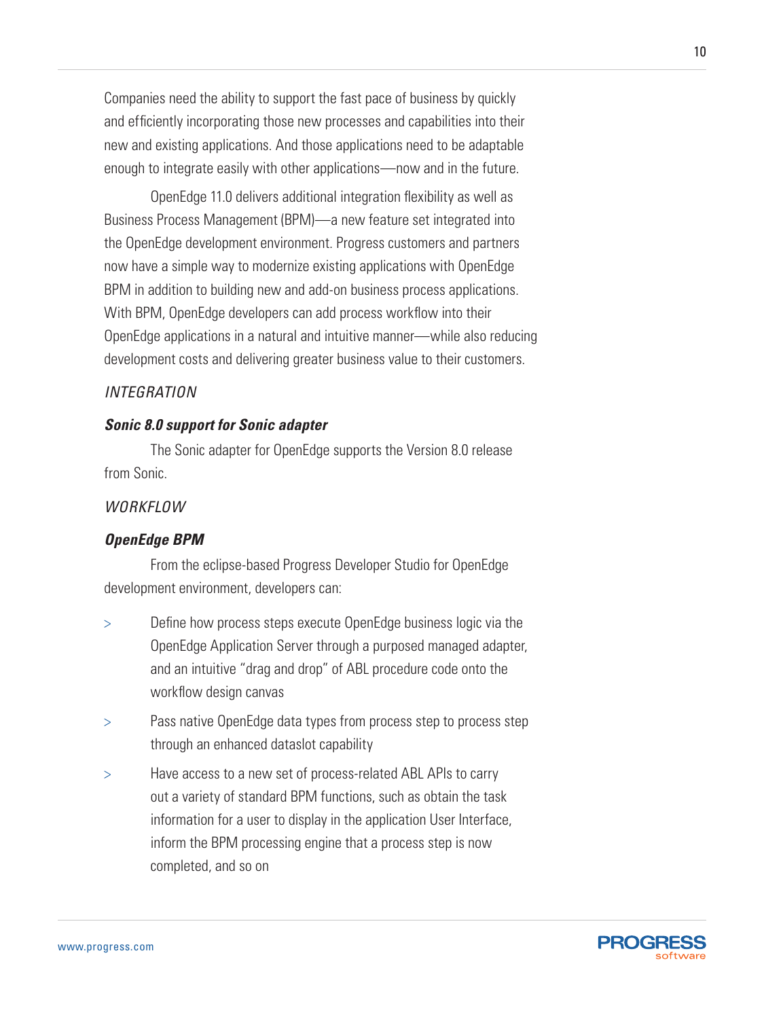Companies need the ability to support the fast pace of business by quickly and efficiently incorporating those new processes and capabilities into their new and existing applications. And those applications need to be adaptable enough to integrate easily with other applications—now and in the future.

OpenEdge 11.0 delivers additional integration flexibility as well as Business Process Management (BPM)—a new feature set integrated into the OpenEdge development environment. Progress customers and partners now have a simple way to modernize existing applications with OpenEdge BPM in addition to building new and add-on business process applications. With BPM, OpenEdge developers can add process workflow into their OpenEdge applications in a natural and intuitive manner—while also reducing development costs and delivering greater business value to their customers.

# *Integration*

# *Sonic 8.0 support for Sonic adapter*

The Sonic adapter for OpenEdge supports the Version 8.0 release from Sonic.

## *Workflow*

#### *OpenEdge BPM*

From the eclipse-based Progress Developer Studio for OpenEdge development environment, developers can:

- > Define how process steps execute OpenEdge business logic via the OpenEdge Application Server through a purposed managed adapter, and an intuitive "drag and drop" of ABL procedure code onto the workflow design canvas
- > Pass native OpenEdge data types from process step to process step through an enhanced dataslot capability
- > Have access to a new set of process-related ABL APIs to carry out a variety of standard BPM functions, such as obtain the task information for a user to display in the application User Interface, inform the BPM processing engine that a process step is now completed, and so on

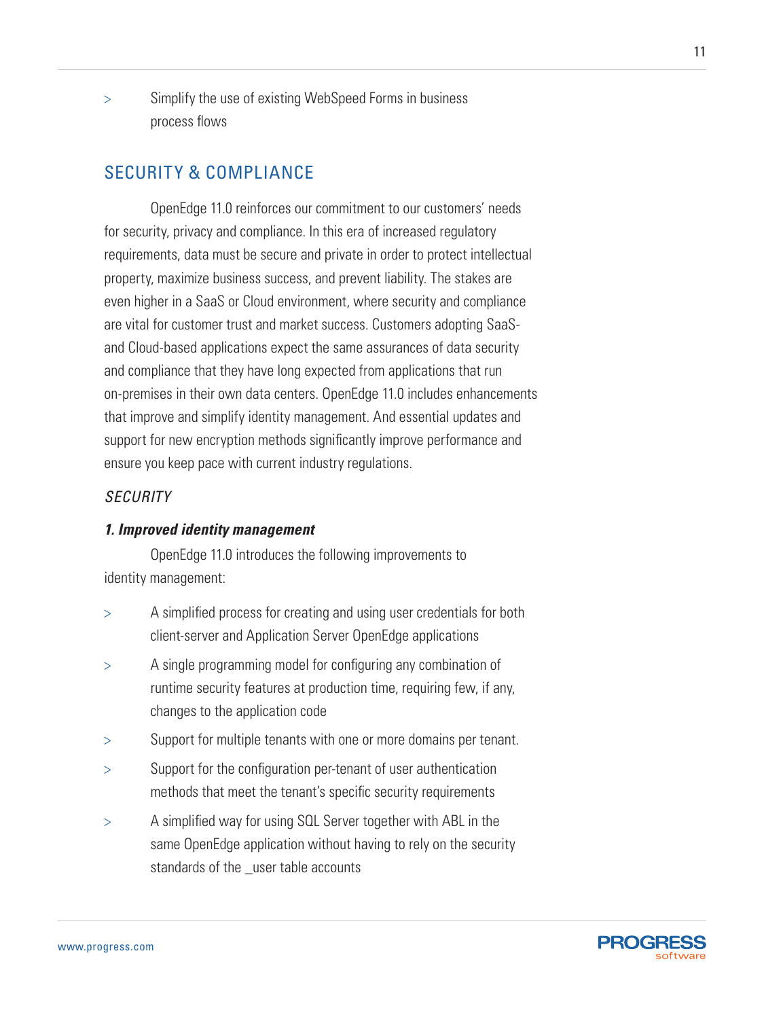> Simplify the use of existing WebSpeed Forms in business process flows

# Security & Compliance

OpenEdge 11.0 reinforces our commitment to our customers' needs for security, privacy and compliance. In this era of increased regulatory requirements, data must be secure and private in order to protect intellectual property, maximize business success, and prevent liability. The stakes are even higher in a SaaS or Cloud environment, where security and compliance are vital for customer trust and market success. Customers adopting SaaSand Cloud-based applications expect the same assurances of data security and compliance that they have long expected from applications that run on-premises in their own data centers. OpenEdge 11.0 includes enhancements that improve and simplify identity management. And essential updates and support for new encryption methods significantly improve performance and ensure you keep pace with current industry regulations.

# *Security*

# *1. Improved identity management*

OpenEdge 11.0 introduces the following improvements to identity management:

- > A simplified process for creating and using user credentials for both client-server and Application Server OpenEdge applications
- > A single programming model for configuring any combination of runtime security features at production time, requiring few, if any, changes to the application code
- > Support for multiple tenants with one or more domains per tenant.
- > Support for the configuration per-tenant of user authentication methods that meet the tenant's specific security requirements
- > A simplified way for using SQL Server together with ABL in the same OpenEdge application without having to rely on the security standards of the \_user table accounts

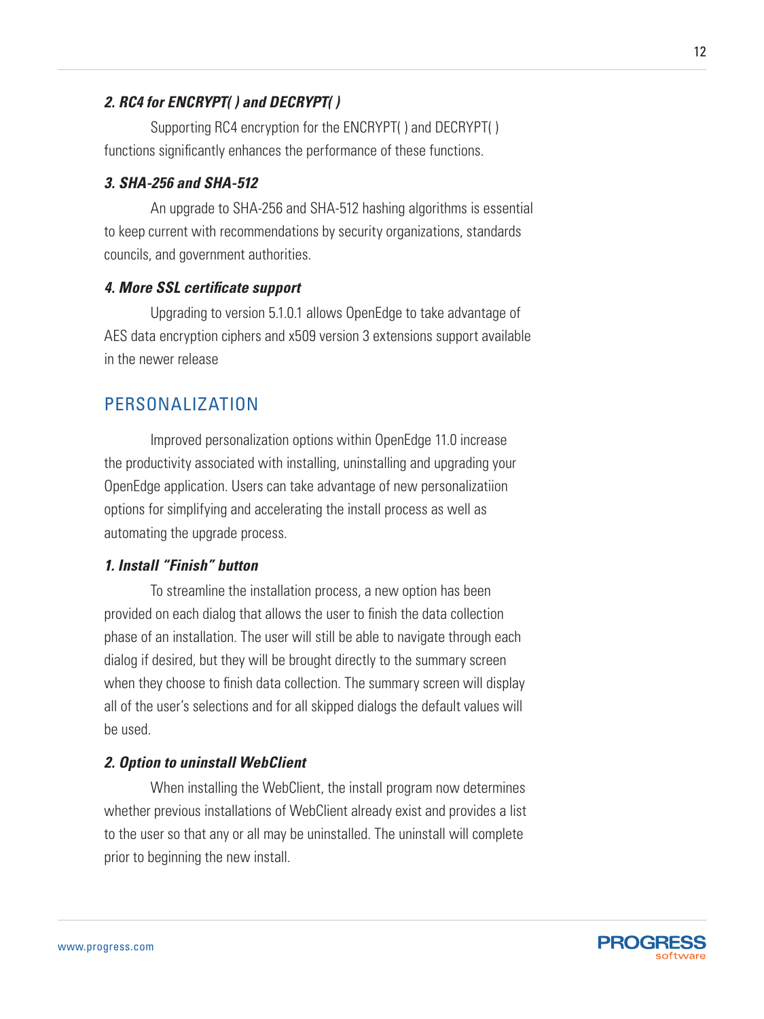# *2. RC4 for ENCRYPT( ) and DECRYPT( )*

Supporting RC4 encryption for the ENCRYPT( ) and DECRYPT( ) functions significantly enhances the performance of these functions.

## *3. SHA-256 and SHA-512*

An upgrade to SHA-256 and SHA-512 hashing algorithms is essential to keep current with recommendations by security organizations, standards councils, and government authorities.

## *4. More SSL certificate support*

Upgrading to version 5.1.0.1 allows OpenEdge to take advantage of AES data encryption ciphers and x509 version 3 extensions support available in the newer release

# Personalization

Improved personalization options within OpenEdge 11.0 increase the productivity associated with installing, uninstalling and upgrading your OpenEdge application. Users can take advantage of new personalizatiion options for simplifying and accelerating the install process as well as automating the upgrade process.

# *1. Install "Finish" button*

To streamline the installation process, a new option has been provided on each dialog that allows the user to finish the data collection phase of an installation. The user will still be able to navigate through each dialog if desired, but they will be brought directly to the summary screen when they choose to finish data collection. The summary screen will display all of the user's selections and for all skipped dialogs the default values will be used.

#### *2. Option to uninstall WebClient*

When installing the WebClient, the install program now determines whether previous installations of WebClient already exist and provides a list to the user so that any or all may be uninstalled. The uninstall will complete prior to beginning the new install.

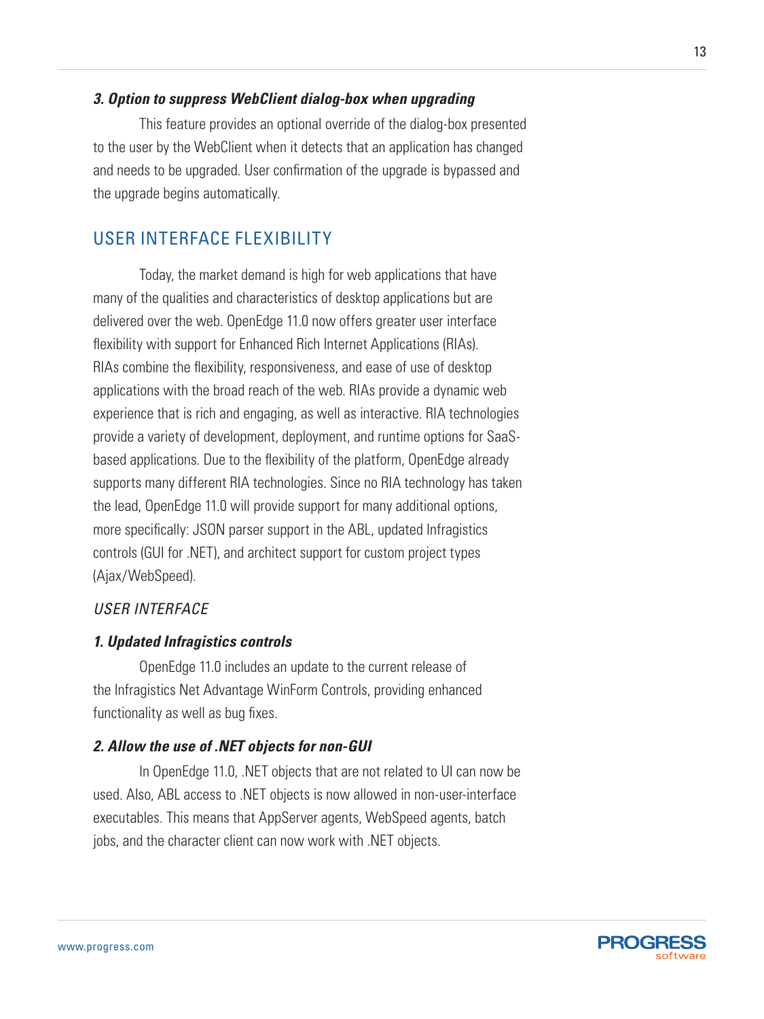# *3. Option to suppress WebClient dialog-box when upgrading*

This feature provides an optional override of the dialog-box presented to the user by the WebClient when it detects that an application has changed and needs to be upgraded. User confirmation of the upgrade is bypassed and the upgrade begins automatically.

# User Interface Flexibility

Today, the market demand is high for web applications that have many of the qualities and characteristics of desktop applications but are delivered over the web. OpenEdge 11.0 now offers greater user interface flexibility with support for Enhanced Rich Internet Applications (RIAs). RIAs combine the flexibility, responsiveness, and ease of use of desktop applications with the broad reach of the web. RIAs provide a dynamic web experience that is rich and engaging, as well as interactive. RIA technologies provide a variety of development, deployment, and runtime options for SaaSbased applications. Due to the flexibility of the platform, OpenEdge already supports many different RIA technologies. Since no RIA technology has taken the lead, OpenEdge 11.0 will provide support for many additional options, more specifically: JSON parser support in the ABL, updated Infragistics controls (GUI for .NET), and architect support for custom project types (Ajax/WebSpeed).

# *User Interface*

# *1. Updated Infragistics controls*

OpenEdge 11.0 includes an update to the current release of the Infragistics Net Advantage WinForm Controls, providing enhanced functionality as well as bug fixes.

#### *2. Allow the use of .NET objects for non-GUI*

In OpenEdge 11.0, .NET objects that are not related to UI can now be used. Also, ABL access to .NET objects is now allowed in non-user-interface executables. This means that AppServer agents, WebSpeed agents, batch jobs, and the character client can now work with .NET objects.